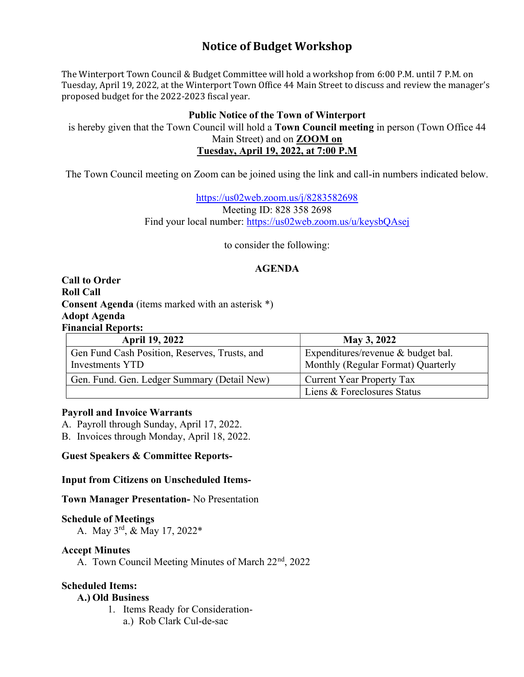# Notice of Budget Workshop

The Winterport Town Council & Budget Committee will hold a workshop from 6:00 P.M. until 7 P.M. on Tuesday, April 19, 2022, at the Winterport Town Office 44 Main Street to discuss and review the manager's proposed budget for the 2022-2023 fiscal year.

## Public Notice of the Town of Winterport

is hereby given that the Town Council will hold a Town Council meeting in person (Town Office 44 Main Street) and on ZOOM on Tuesday, April 19, 2022, at 7:00 P.M

The Town Council meeting on Zoom can be joined using the link and call-in numbers indicated below.

https://us02web.zoom.us/j/8283582698 Meeting ID: 828 358 2698 Find your local number: https://us02web.zoom.us/u/keysbQAsej

to consider the following:

# AGENDA

Call to Order Roll Call Consent Agenda (items marked with an asterisk \*) Adopt Agenda Financial Reports:

| <b>April 19, 2022</b>                         | May 3, 2022                        |
|-----------------------------------------------|------------------------------------|
| Gen Fund Cash Position, Reserves, Trusts, and | Expenditures/revenue & budget bal. |
| Investments YTD                               | Monthly (Regular Format) Quarterly |
| Gen. Fund. Gen. Ledger Summary (Detail New)   | Current Year Property Tax          |
|                                               | Liens & Foreclosures Status        |

#### Payroll and Invoice Warrants

A. Payroll through Sunday, April 17, 2022.

B. Invoices through Monday, April 18, 2022.

Guest Speakers & Committee Reports-

Input from Citizens on Unscheduled Items-

Town Manager Presentation- No Presentation

#### Schedule of Meetings

A. May 3rd, & May 17, 2022\*

#### Accept Minutes

A. Town Council Meeting Minutes of March 22<sup>nd</sup>, 2022

#### Scheduled Items:

#### A.) Old Business

- 1. Items Ready for Consideration
	- a.) Rob Clark Cul-de-sac